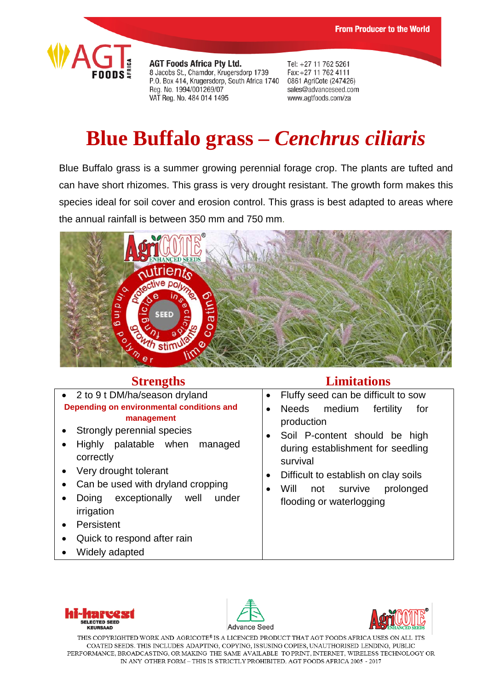

**AGT Foods Africa Pty Ltd.** 8 Jacobs St., Chamdor, Krugersdorp 1739 P.O. Box 414, Krugersdorp, South Africa 1740 Reg. No. 1994/001269/07 VAT Reg. No. 484 014 1495

Tel: +27 11 762 5261 Fax: +27 11 762 4111 0861 AgriCote (247426) sales@advanceseed.com www.agtfoods.com/za

# **Blue Buffalo grass –** *Cenchrus ciliaris*

Blue Buffalo grass is a summer growing perennial forage crop. The plants are tufted and can have short rhizomes. This grass is very drought resistant. The growth form makes this species ideal for soil cover and erosion control. This grass is best adapted to areas where the annual rainfall is between 350 mm and 750 mm.



- 2 to 9 t DM/ha/season dryland **Depending on environmental conditions and management** • Strongly perennial species
- Highly palatable when managed correctly
- Very drought tolerant
- Can be used with dryland cropping
- Doing exceptionally well under irrigation
- Persistent
- Quick to respond after rain
- Widely adapted

### **Strengths Limitations**

- Fluffy seed can be difficult to sow
- Needs medium fertility for production
- Soil P-content should be high during establishment for seedling survival
- Difficult to establish on clay soils
- Will not survive prolonged flooding or waterlogging







THIS COPYRIGHTED WORK AND AGRICOTE® IS A LICENCED PRODUCT THAT AGT FOODS AFRICA USES ON ALL ITS COATED SEEDS. THIS INCLUDES ADAPTING, COPYING, ISSUSING COPIES, UNAUTHORISED LENDING, PUBLIC PERFORMANCE, BROADCASTING, OR MAKING THE SAME AVAILABLE TO PRINT, INTERNET, WIRELESS TECHNOLOGY OR IN ANY OTHER FORM - THIS IS STRICTLY PROHIBITED. AGT FOODS AFRICA 2005 - 2017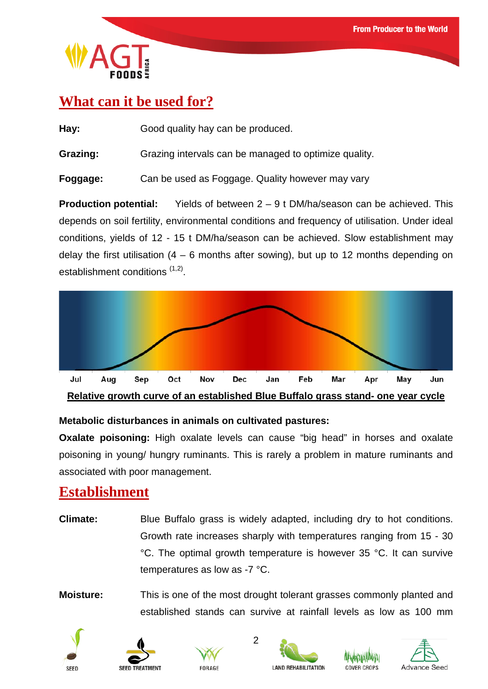

## **What can it be used for?**

**Hay:** Good quality hay can be produced.

**Grazing:** Grazing intervals can be managed to optimize quality.

**Foggage:** Can be used as Foggage. Quality however may vary

**Production potential:** Yields of between 2 – 9 t DM/ha/season can be achieved. This depends on soil fertility, environmental conditions and frequency of utilisation. Under ideal conditions, yields of 12 - 15 t DM/ha/season can be achieved. Slow establishment may delay the first utilisation  $(4 - 6$  months after sowing), but up to 12 months depending on establishment conditions (1,2).



#### **Metabolic disturbances in animals on cultivated pastures:**

**Oxalate poisoning:** High oxalate levels can cause "big head" in horses and oxalate poisoning in young/ hungry ruminants. This is rarely a problem in mature ruminants and associated with poor management.

### **Establishment**

**Climate:** Blue Buffalo grass is widely adapted, including dry to hot conditions. Growth rate increases sharply with temperatures ranging from 15 - 30 °C. The optimal growth temperature is however 35 °C. It can survive temperatures as low as -7 °C.

**Moisture:** This is one of the most drought tolerant grasses commonly planted and established stands can survive at rainfall levels as low as 100 mm

2











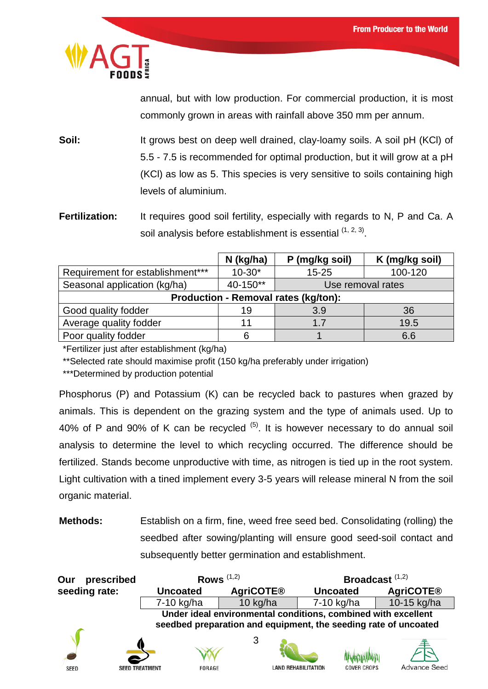

annual, but with low production. For commercial production, it is most commonly grown in areas with rainfall above 350 mm per annum.

**Soil:** It grows best on deep well drained, clay-loamy soils. A soil pH (KCI) of 5.5 - 7.5 is recommended for optimal production, but it will grow at a pH (KCl) as low as 5. This species is very sensitive to soils containing high levels of aluminium.

**Fertilization:** It requires good soil fertility, especially with regards to N, P and Ca. A soil analysis before establishment is essential  $(1, 2, 3)$ .

|                                             | $N$ (kg/ha) | P (mg/kg soil)    | K (mg/kg soil) |
|---------------------------------------------|-------------|-------------------|----------------|
| Requirement for establishment***            | $10-30*$    | $15 - 25$         | 100-120        |
| Seasonal application (kg/ha)                | 40-150**    | Use removal rates |                |
| <b>Production - Removal rates (kg/ton):</b> |             |                   |                |
| Good quality fodder                         | 19          | 3.9               | 36             |
| Average quality fodder                      | 11          | 1.7               | 19.5           |
| Poor quality fodder                         |             |                   | 6.6            |

\*Fertilizer just after establishment (kg/ha)

\*\*Selected rate should maximise profit (150 kg/ha preferably under irrigation)

\*\*\*Determined by production potential

Phosphorus (P) and Potassium (K) can be recycled back to pastures when grazed by animals. This is dependent on the grazing system and the type of animals used. Up to 40% of P and 90% of K can be recycled  $(5)$ . It is however necessary to do annual soil analysis to determine the level to which recycling occurred. The difference should be fertilized. Stands become unproductive with time, as nitrogen is tied up in the root system. Light cultivation with a tined implement every 3-5 years will release mineral N from the soil organic material.

**Methods:** Establish on a firm, fine, weed free seed bed. Consolidating (rolling) the seedbed after sowing/planting will ensure good seed-soil contact and subsequently better germination and establishment.